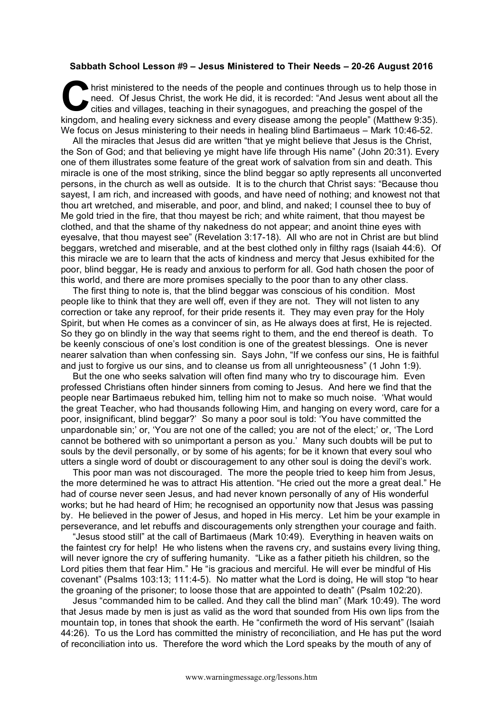## **Sabbath School Lesson #9 – Jesus Ministered to Their Needs – 20-26 August 2016**

hrist ministered to the needs of the people and continues through us to help those in need. Of Jesus Christ, the work He did, it is recorded: "And Jesus went about all the cities and villages, teaching in their synagogues, and preaching the gospel of the kingdom, and healing every sickness and every disease among the people" (Matthew 9:35). We focus on Jesus ministering to their needs in healing blind Bartimaeus – Mark 10:46-52. C hris

All the miracles that Jesus did are written "that ye might believe that Jesus is the Christ, the Son of God; and that believing ye might have life through His name" (John 20:31). Every one of them illustrates some feature of the great work of salvation from sin and death. This miracle is one of the most striking, since the blind beggar so aptly represents all unconverted persons, in the church as well as outside. It is to the church that Christ says: "Because thou sayest, I am rich, and increased with goods, and have need of nothing; and knowest not that thou art wretched, and miserable, and poor, and blind, and naked; I counsel thee to buy of Me gold tried in the fire, that thou mayest be rich; and white raiment, that thou mayest be clothed, and that the shame of thy nakedness do not appear; and anoint thine eyes with eyesalve, that thou mayest see" (Revelation 3:17-18). All who are not in Christ are but blind beggars, wretched and miserable, and at the best clothed only in filthy rags (Isaiah 44:6). Of this miracle we are to learn that the acts of kindness and mercy that Jesus exhibited for the poor, blind beggar, He is ready and anxious to perform for all. God hath chosen the poor of this world, and there are more promises specially to the poor than to any other class.

The first thing to note is, that the blind beggar was conscious of his condition. Most people like to think that they are well off, even if they are not. They will not listen to any correction or take any reproof, for their pride resents it. They may even pray for the Holy Spirit, but when He comes as a convincer of sin, as He always does at first, He is rejected. So they go on blindly in the way that seems right to them, and the end thereof is death. To be keenly conscious of one's lost condition is one of the greatest blessings. One is never nearer salvation than when confessing sin. Says John, "If we confess our sins, He is faithful and just to forgive us our sins, and to cleanse us from all unrighteousness" (1 John 1:9).

But the one who seeks salvation will often find many who try to discourage him. Even professed Christians often hinder sinners from coming to Jesus. And here we find that the people near Bartimaeus rebuked him, telling him not to make so much noise. 'What would the great Teacher, who had thousands following Him, and hanging on every word, care for a poor, insignificant, blind beggar?' So many a poor soul is told: 'You have committed the unpardonable sin;' or, 'You are not one of the called; you are not of the elect;' or, 'The Lord cannot be bothered with so unimportant a person as you.' Many such doubts will be put to souls by the devil personally, or by some of his agents; for be it known that every soul who utters a single word of doubt or discouragement to any other soul is doing the devil's work.

This poor man was not discouraged. The more the people tried to keep him from Jesus, the more determined he was to attract His attention. "He cried out the more a great deal." He had of course never seen Jesus, and had never known personally of any of His wonderful works; but he had heard of Him; he recognised an opportunity now that Jesus was passing by. He believed in the power of Jesus, and hoped in His mercy. Let him be your example in perseverance, and let rebuffs and discouragements only strengthen your courage and faith.

"Jesus stood still" at the call of Bartimaeus (Mark 10:49). Everything in heaven waits on the faintest cry for help! He who listens when the ravens cry, and sustains every living thing, will never ignore the cry of suffering humanity. "Like as a father pitieth his children, so the Lord pities them that fear Him." He "is gracious and merciful. He will ever be mindful of His covenant" (Psalms 103:13; 111:4-5). No matter what the Lord is doing, He will stop "to hear the groaning of the prisoner; to loose those that are appointed to death" (Psalm 102:20).

Jesus "commanded him to be called. And they call the blind man" (Mark 10:49). The word that Jesus made by men is just as valid as the word that sounded from His own lips from the mountain top, in tones that shook the earth. He "confirmeth the word of His servant" (Isaiah 44:26). To us the Lord has committed the ministry of reconciliation, and He has put the word of reconciliation into us. Therefore the word which the Lord speaks by the mouth of any of